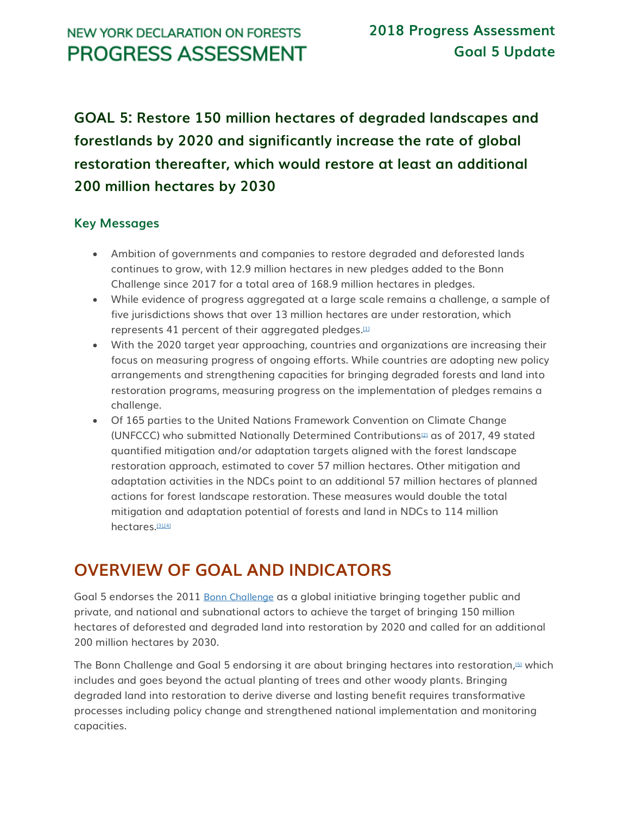**GOAL 5: Restore 150 million hectares of degraded landscapes and forestlands by 2020 and significantly increase the rate of global restoration thereafter, which would restore at least an additional 200 million hectares by 2030**

## **Key Messages**

- Ambition of governments and companies to restore degraded and deforested lands continues to grow, with 12.9 million hectares in new pledges added to the Bonn Challenge since 2017 for a total area of 168.9 million hectares in pledges.
- While evidence of progress aggregated at a large scale remains a challenge, a sample of five jurisdictions shows that over 13 million hectares are under restoration, which represents 41 percent of their aggregated pledges. $[11]$
- With the 2020 target year approaching, countries and organizations are increasing their focus on measuring progress of ongoing efforts. While countries are adopting new policy arrangements and strengthening capacities for bringing degraded forests and land into restoration programs, measuring progress on the implementation of pledges remains a challenge.
- Of 165 parties to the United Nations Framework Convention on Climate Change (UNFCCC) who submitted Nationally Determined Contributions[\[2\]](http://forestdeclaration.org/goal/goal-5/#_edn2) as of 2017, 49 stated quantified mitigation and/or adaptation targets aligned with the forest landscape restoration approach, estimated to cover 57 million hectares. Other mitigation and adaptation activities in the NDCs point to an additional 57 million hectares of planned actions for forest landscape restoration. These measures would double the total mitigation and adaptation potential of forests and land in NDCs to 114 million hectares.<sup>[\[3\],](http://forestdeclaration.org/goal/goal-5/#_edn3)[\[4\]](http://forestdeclaration.org/goal/goal-5/#_edn4)</sup>

# **OVERVIEW OF GOAL AND INDICATORS**

Goal 5 endorses the 2011 [Bonn Challenge](http://www.bonnchallenge.org/content/challenge) as a global initiative bringing together public and private, and national and subnational actors to achieve the target of bringing 150 million hectares of deforested and degraded land into restoration by 2020 and called for an additional 200 million hectares by 2030.

The Bonn Challenge and Goal 5 endorsing it are about bringing hectares into restoration*,* [\[5\]](http://forestdeclaration.org/goal/goal-5/#_edn5) which includes and goes beyond the actual planting of trees and other woody plants. Bringing degraded land into restoration to derive diverse and lasting benefit requires transformative processes including policy change and strengthened national implementation and monitoring capacities.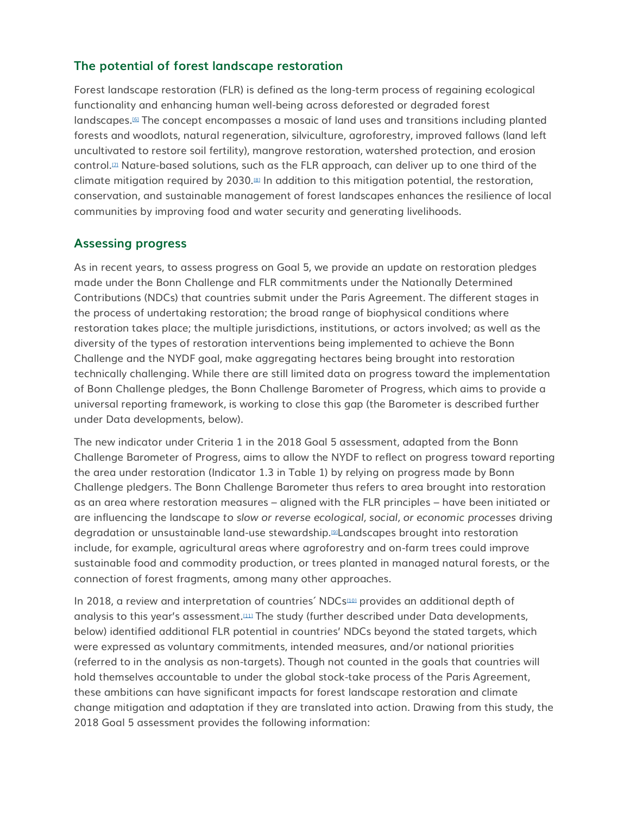## **The potential of forest landscape restoration**

Forest landscape restoration (FLR) is defined as the long-term process of regaining ecological functionality and enhancing human well-being across deforested or degraded forest landscapes.[\[6\]](http://forestdeclaration.org/goal/goal-5/#_edn6) The concept encompasses a mosaic of land uses and transitions including planted forests and woodlots, natural regeneration, silviculture, agroforestry, improved fallows (land left uncultivated to restore soil fertility), mangrove restoration, watershed protection, and erosion control.<sup>[\[7\]](http://forestdeclaration.org/goal/goal-5/#_edn7)</sup> Nature-based solutions, such as the FLR approach, can deliver up to one third of the climate mitigation required by 2030.[\[8\]](http://forestdeclaration.org/goal/goal-5/#_edn8) In addition to this mitigation potential, the restoration, conservation, and sustainable management of forest landscapes enhances the resilience of local communities by improving food and water security and generating livelihoods.

### **Assessing progress**

As in recent years, to assess progress on Goal 5, we provide an update on restoration pledges made under the Bonn Challenge and FLR commitments under the Nationally Determined Contributions (NDCs) that countries submit under the Paris Agreement. The different stages in the process of undertaking restoration; the broad range of biophysical conditions where restoration takes place; the multiple jurisdictions, institutions, or actors involved; as well as the diversity of the types of restoration interventions being implemented to achieve the Bonn Challenge and the NYDF goal, make aggregating hectares being brought into restoration technically challenging. While there are still limited data on progress toward the implementation of Bonn Challenge pledges, the Bonn Challenge Barometer of Progress, which aims to provide a universal reporting framework, is working to close this gap (the Barometer is described further under Data developments, below).

The new indicator under Criteria 1 in the 2018 Goal 5 assessment, adapted from the Bonn Challenge Barometer of Progress, aims to allow the NYDF to reflect on progress toward reporting the area under restoration (Indicator 1.3 in Table 1) by relying on progress made by Bonn Challenge pledgers. The Bonn Challenge Barometer thus refers to area brought into restoration as an area where restoration measures *–* aligned with the FLR principles – have been initiated or are influencing the landscape *to slow or reverse ecological, social, or economic processes* driving degradation or unsustainable land-use stewardship.[\[9\]](http://forestdeclaration.org/goal/goal-5/#_edn9)Landscapes brought into restoration include, for example, agricultural areas where agroforestry and on-farm trees could improve sustainable food and commodity production, or trees planted in managed natural forests, or the connection of forest fragments, among many other approaches.

In 2018, a review and interpretation of countries' NDCs<sup>[\[10\]](http://forestdeclaration.org/goal/goal-5/#_edn10)</sup> provides an additional depth of analysis to this year's assessment.<sup>[\[11\]](http://forestdeclaration.org/goal/goal-5/#_edn11)</sup> The study (further described under Data developments, below) identified additional FLR potential in countries' NDCs beyond the stated targets, which were expressed as voluntary commitments, intended measures, and/or national priorities (referred to in the analysis as non-targets). Though not counted in the goals that countries will hold themselves accountable to under the global stock-take process of the Paris Agreement, these ambitions can have significant impacts for forest landscape restoration and climate change mitigation and adaptation if they are translated into action. Drawing from this study, the 2018 Goal 5 assessment provides the following information: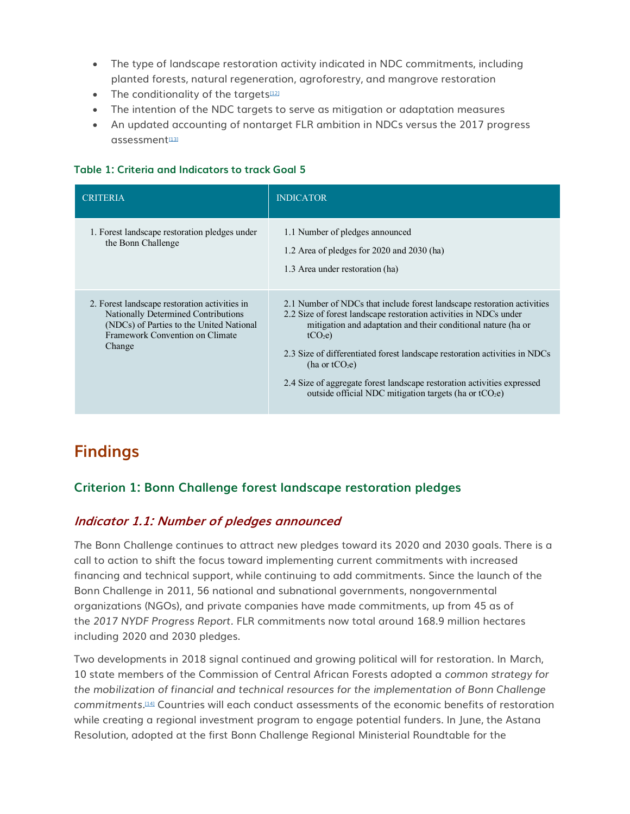- The type of landscape restoration activity indicated in NDC commitments, including planted forests, natural regeneration, agroforestry, and mangrove restoration
- The conditionality of the targets $122$
- The intention of the NDC targets to serve as mitigation or adaptation measures
- An updated accounting of nontarget FLR ambition in NDCs versus the 2017 progress  $asesment$

#### **Table 1: Criteria and Indicators to track Goal 5**

| <b>CRITERIA</b>                                                                                                                                                               | <b>INDICATOR</b>                                                                                                                                                                                                                                                                                                                                                                                                                                                                       |
|-------------------------------------------------------------------------------------------------------------------------------------------------------------------------------|----------------------------------------------------------------------------------------------------------------------------------------------------------------------------------------------------------------------------------------------------------------------------------------------------------------------------------------------------------------------------------------------------------------------------------------------------------------------------------------|
| 1. Forest landscape restoration pledges under<br>the Bonn Challenge                                                                                                           | 1.1 Number of pledges announced<br>1.2 Area of pledges for $2020$ and $2030$ (ha)<br>1.3 Area under restoration (ha)                                                                                                                                                                                                                                                                                                                                                                   |
| 2. Forest landscape restoration activities in<br>Nationally Determined Contributions<br>(NDCs) of Parties to the United National<br>Framework Convention on Climate<br>Change | 2.1 Number of NDCs that include forest landscape restoration activities<br>2.2 Size of forest landscape restoration activities in NDCs under<br>mitigation and adaptation and their conditional nature (ha or<br>tCO <sub>2</sub> e<br>2.3 Size of differentiated forest landscape restoration activities in NDCs<br>(ha or $tCO2e$ )<br>2.4 Size of aggregate forest landscape restoration activities expressed<br>outside official NDC mitigation targets (ha or tCO <sub>2</sub> e) |

# **Findings**

### **Criterion 1: Bonn Challenge forest landscape restoration pledges**

### **Indicator 1.1: Number of pledges announced**

*T*he Bonn Challenge continues to attract new pledges toward its 2020 and 2030 goals. There is a call to action to shift the focus toward implementing current commitments with increased financing and technical support, while continuing to add commitments. Since the launch of the Bonn Challenge in 2011, 56 national and subnational governments, nongovernmental organizations (NGOs), and private companies have made commitments, up from 45 as of the *2017 NYDF Progress Report.* FLR commitments now total around 168.9 million hectares including 2020 and 2030 pledges.

Two developments in 2018 signal continued and growing political will for restoration. In March, 10 state members of the Commission of Central African Forests adopted a *common strategy for the mobilization of financial and technical resources for the implementation of Bonn Challenge commitments.*[\[14\]](http://forestdeclaration.org/goal/goal-5/#_edn14) Countries will each conduct assessments of the economic benefits of restoration while creating a regional investment program to engage potential funders. In June, the Astana Resolution, adopted at the first Bonn Challenge Regional Ministerial Roundtable for the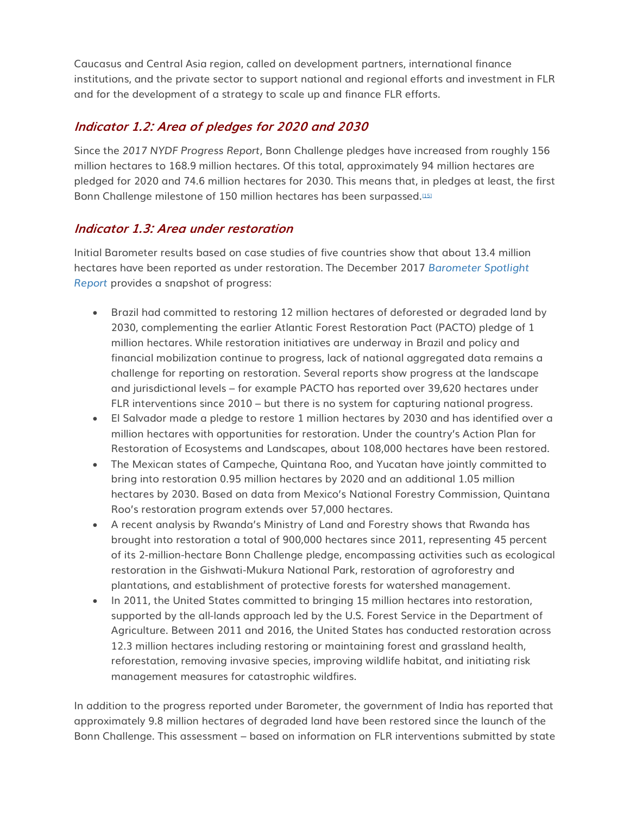Caucasus and Central Asia region, called on development partners, international finance institutions, and the private sector to support national and regional efforts and investment in FLR and for the development of a strategy to scale up and finance FLR efforts.

## **Indicator 1.2: Area of pledges for 2020 and 2030**

Since the *2017 NYDF Progress Report*, Bonn Challenge pledges have increased from roughly 156 million hectares to 168.9 million hectares. Of this total, approximately 94 million hectares are pledged for 2020 and 74.6 million hectares for 2030. This means that, in pledges at least, the first Bonn Challenge milestone of 150 million hectares has been surpassed.<sup>[\[15\]](http://forestdeclaration.org/goal/goal-5/#_edn15)</sup>

## **Indicator 1.3: Area under restoration**

Initial Barometer results based on case studies of five countries show that about 13.4 million hectares have been reported as under restoration. The December 2017 *[Barometer Spotlight](https://portals.iucn.org/library/sites/library/files/documents/2017-060.pdf)  [Report](https://portals.iucn.org/library/sites/library/files/documents/2017-060.pdf)* provides a snapshot of progress:

- Brazil had committed to restoring 12 million hectares of deforested or degraded land by 2030, complementing the earlier Atlantic Forest Restoration Pact (PACTO) pledge of 1 million hectares. While restoration initiatives are underway in Brazil and policy and financial mobilization continue to progress, lack of national aggregated data remains a challenge for reporting on restoration. Several reports show progress at the landscape and jurisdictional levels – for example PACTO has reported over 39,620 hectares under FLR interventions since 2010 – but there is no system for capturing national progress.
- El Salvador made a pledge to restore 1 million hectares by 2030 and has identified over a million hectares with opportunities for restoration. Under the country's Action Plan for Restoration of Ecosystems and Landscapes, about 108,000 hectares have been restored.
- The Mexican states of Campeche, Quintana Roo, and Yucatan have jointly committed to bring into restoration 0.95 million hectares by 2020 and an additional 1.05 million hectares by 2030. Based on data from Mexico's National Forestry Commission, Quintana Roo's restoration program extends over 57,000 hectares.
- A recent analysis by Rwanda's Ministry of Land and Forestry shows that Rwanda has brought into restoration a total of 900,000 hectares since 2011, representing 45 percent of its 2-million-hectare Bonn Challenge pledge, encompassing activities such as ecological restoration in the Gishwati-Mukura National Park, restoration of agroforestry and plantations, and establishment of protective forests for watershed management.
- In 2011, the United States committed to bringing 15 million hectares into restoration, supported by the all-lands approach led by the U.S. Forest Service in the Department of Agriculture. Between 2011 and 2016, the United States has conducted restoration across 12.3 million hectares including restoring or maintaining forest and grassland health, reforestation, removing invasive species, improving wildlife habitat, and initiating risk management measures for catastrophic wildfires.

In addition to the progress reported under Barometer, the government of India has reported that approximately 9.8 million hectares of degraded land have been restored since the launch of the Bonn Challenge. This assessment – based on information on FLR interventions submitted by state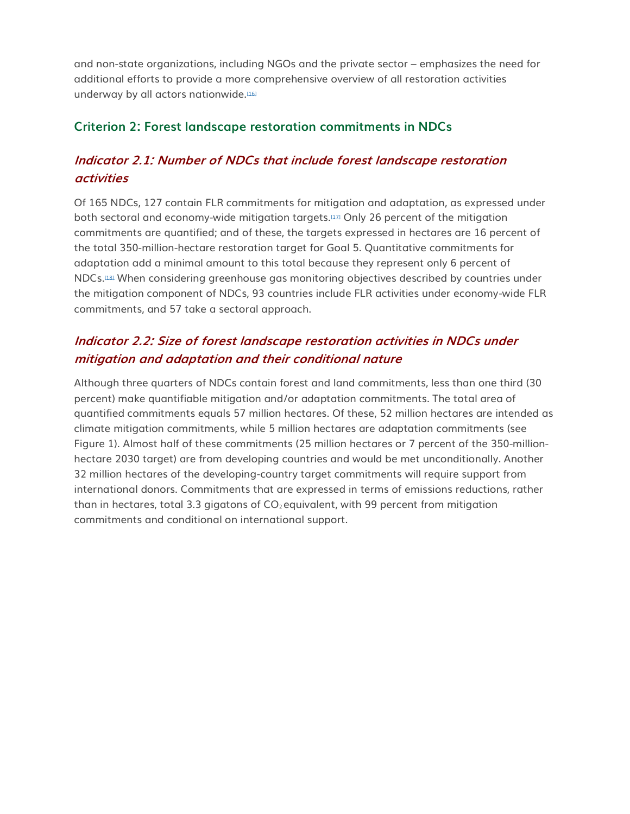and non-state organizations, including NGOs and the private sector – emphasizes the need for additional efforts to provide a more comprehensive overview of all restoration activities underway by all actors nationwide.<sup>[\[16\]](http://forestdeclaration.org/goal/goal-5/#_edn16)</sup>

## **Criterion 2: Forest landscape restoration commitments in NDCs**

## **Indicator 2.1: Number of NDCs that include forest landscape restoration activities**

Of 165 NDCs, 127 contain FLR commitments for mitigation and adaptation, as expressed under both sectoral and economy-wide mitigation targets.<sup>[\[17\]](http://forestdeclaration.org/goal/goal-5/#_edn17)</sup> Only 26 percent of the mitigation commitments are quantified; and of these, the targets expressed in hectares are 16 percent of the total 350-million-hectare restoration target for Goal 5. Quantitative commitments for adaptation add a minimal amount to this total because they represent only 6 percent of NDCs.[\[18\]](http://forestdeclaration.org/goal/goal-5/#_edn18) When considering greenhouse gas monitoring objectives described by countries under the mitigation component of NDCs, 93 countries include FLR activities under economy-wide FLR commitments, and 57 take a sectoral approach.

## **Indicator 2.2: Size of forest landscape restoration activities in NDCs under mitigation and adaptation and their conditional nature**

Although three quarters of NDCs contain forest and land commitments, less than one third (30 percent) make quantifiable mitigation and/or adaptation commitments. The total area of quantified commitments equals 57 million hectares. Of these, 52 million hectares are intended as climate mitigation commitments, while 5 million hectares are adaptation commitments (see Figure 1). Almost half of these commitments (25 million hectares or 7 percent of the 350-millionhectare 2030 target) are from developing countries and would be met unconditionally. Another 32 million hectares of the developing-country target commitments will require support from international donors. Commitments that are expressed in terms of emissions reductions, rather than in hectares, total 3.3 gigatons of  $CO<sub>2</sub>$  equivalent, with 99 percent from mitigation commitments and conditional on international support.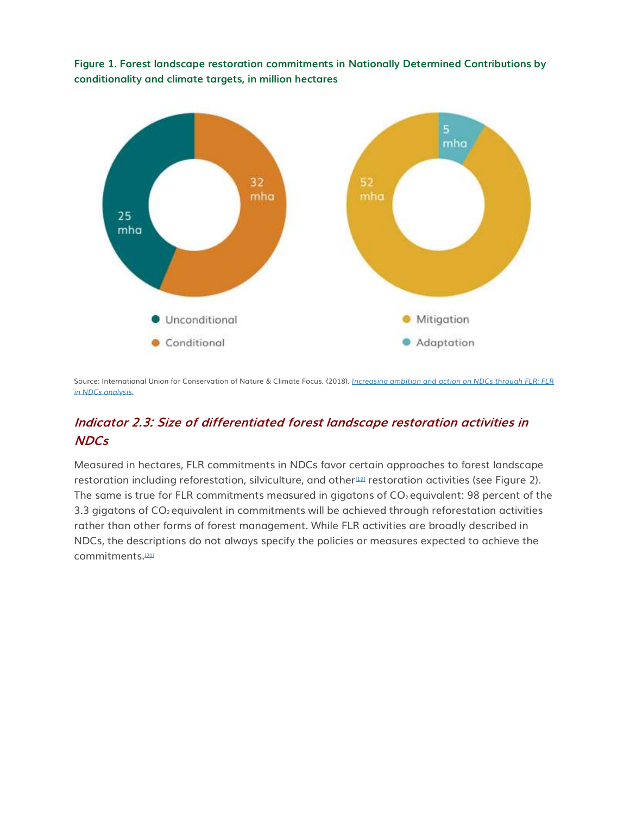**Figure 1. Forest landscape restoration commitments in Nationally Determined Contributions by conditionality and climate targets, in million hectares**



Source: International Union for Conservation of Nature & Climate Focus. (2018). *[Increasing ambition and action on NDCs through FLR: FLR](https://infoflr.org/what-flr/increasing-ambition-and-action-ndcs-through-flr)  [in NDCs analysis.](https://infoflr.org/what-flr/increasing-ambition-and-action-ndcs-through-flr)*

## **Indicator 2.3: Size of differentiated forest landscape restoration activities in NDCs**

Measured in hectares, FLR commitments in NDCs favor certain approaches to forest landscape restoration including reforestation, silviculture, and other<sup>[\[19\]](http://forestdeclaration.org/goal/goal-5/#_edn19)</sup> restoration activities (see Figure 2). The same is true for FLR commitments measured in gigatons of  $CO<sub>2</sub>$  equivalent: 98 percent of the 3.3 gigatons of  $CO<sub>2</sub>$  equivalent in commitments will be achieved through reforestation activities rather than other forms of forest management. While FLR activities are broadly described in NDCs, the descriptions do not always specify the policies or measures expected to achieve the commitments.[\[20\]](http://forestdeclaration.org/goal/goal-5/#_edn20)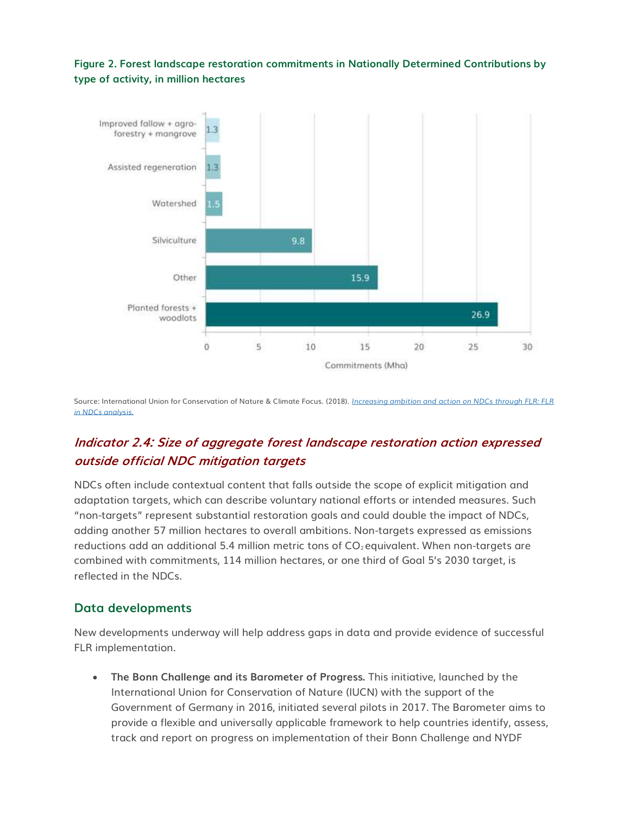#### **Figure 2. Forest landscape restoration commitments in Nationally Determined Contributions by type of activity, in million hectares**



Source: International Union for Conservation of Nature & Climate Focus. (2018). *[Increasing ambition and action on NDCs through FLR: FLR](https://infoflr.org/what-flr/increasing-ambition-and-action-ndcs-through-flr)  [in NDCs analysis.](https://infoflr.org/what-flr/increasing-ambition-and-action-ndcs-through-flr)*

## **Indicator 2.4: Size of aggregate forest landscape restoration action expressed outside official NDC mitigation targets**

NDCs often include contextual content that falls outside the scope of explicit mitigation and adaptation targets, which can describe voluntary national efforts or intended measures. Such "non-targets" represent substantial restoration goals and could double the impact of NDCs, adding another 57 million hectares to overall ambitions. Non-targets expressed as emissions reductions add an additional 5.4 million metric tons of  $CO<sub>2</sub>$  equivalent. When non-targets are combined with commitments, 114 million hectares, or one third of Goal 5's 2030 target, is reflected in the NDCs.

### **Data developments**

New developments underway will help address gaps in data and provide evidence of successful FLR implementation.

• **The Bonn Challenge and its Barometer of Progress.** This initiative, launched by the International Union for Conservation of Nature (IUCN) with the support of the Government of Germany in 2016, initiated several pilots in 2017. The Barometer aims to provide a flexible and universally applicable framework to help countries identify, assess, track and report on progress on implementation of their Bonn Challenge and NYDF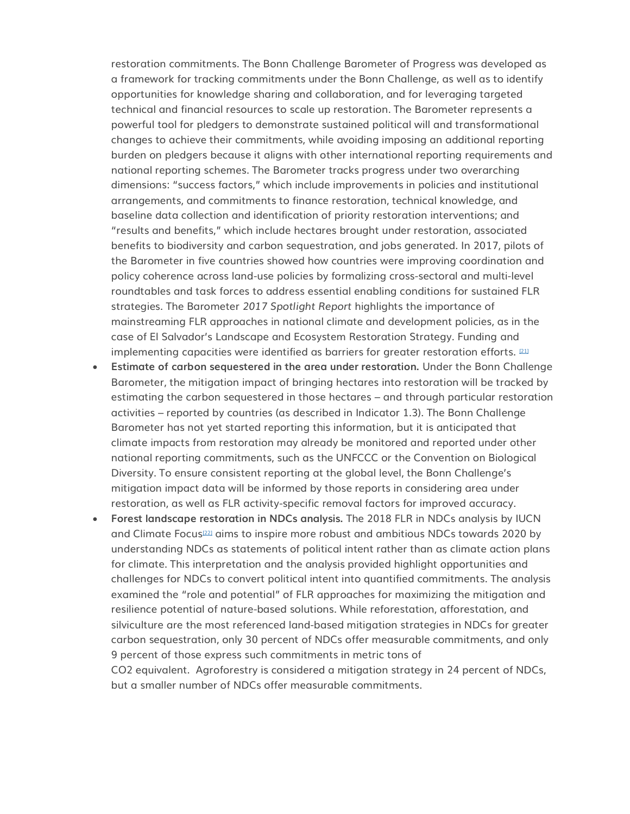restoration commitments. The Bonn Challenge Barometer of Progress was developed as a framework for tracking commitments under the Bonn Challenge, as well as to identify opportunities for knowledge sharing and collaboration, and for leveraging targeted technical and financial resources to scale up restoration. The Barometer represents a powerful tool for pledgers to demonstrate sustained political will and transformational changes to achieve their commitments, while avoiding imposing an additional reporting burden on pledgers because it aligns with other international reporting requirements and national reporting schemes. The Barometer tracks progress under two overarching dimensions: "success factors," which include improvements in policies and institutional arrangements, and commitments to finance restoration, technical knowledge, and baseline data collection and identification of priority restoration interventions; and "results and benefits," which include hectares brought under restoration, associated benefits to biodiversity and carbon sequestration, and jobs generated. In 2017, pilots of the Barometer in five countries showed how countries were improving coordination and policy coherence across land-use policies by formalizing cross-sectoral and multi-level roundtables and task forces to address essential enabling conditions for sustained FLR strategies. The Barometer *2017 Spotlight Report* highlights the importance of mainstreaming FLR approaches in national climate and development policies, as in the case of El Salvador's Landscape and Ecosystem Restoration Strategy. Funding and implementing capacities were identified as barriers for greater restoration efforts.  $21$ 

- **Estimate of carbon sequestered in the area under restoration.** Under the Bonn Challenge Barometer, the mitigation impact of bringing hectares into restoration will be tracked by estimating the carbon sequestered in those hectares – and through particular restoration activities – reported by countries (as described in Indicator 1.3). The Bonn Challenge Barometer has not yet started reporting this information, but it is anticipated that climate impacts from restoration may already be monitored and reported under other national reporting commitments, such as the UNFCCC or the Convention on Biological Diversity. To ensure consistent reporting at the global level, the Bonn Challenge's mitigation impact data will be informed by those reports in considering area under restoration, as well as FLR activity-specific removal factors for improved accuracy.
- **Forest landscape restoration in NDCs analysis.** The 2018 FLR in NDCs analysis by IUCN and Climate Focus<sup>[\[22\]](http://forestdeclaration.org/goal/goal-5/#_edn22)</sup> aims to inspire more robust and ambitious NDCs towards 2020 by understanding NDCs as statements of political intent rather than as climate action plans for climate. This interpretation and the analysis provided highlight opportunities and challenges for NDCs to convert political intent into quantified commitments. The analysis examined the "role and potential" of FLR approaches for maximizing the mitigation and resilience potential of nature-based solutions. While reforestation, afforestation, and silviculture are the most referenced land-based mitigation strategies in NDCs for greater carbon sequestration, only 30 percent of NDCs offer measurable commitments, and only 9 percent of those express such commitments in metric tons of CO2 equivalent. Agroforestry is considered a mitigation strategy in 24 percent of NDCs,

but a smaller number of NDCs offer measurable commitments.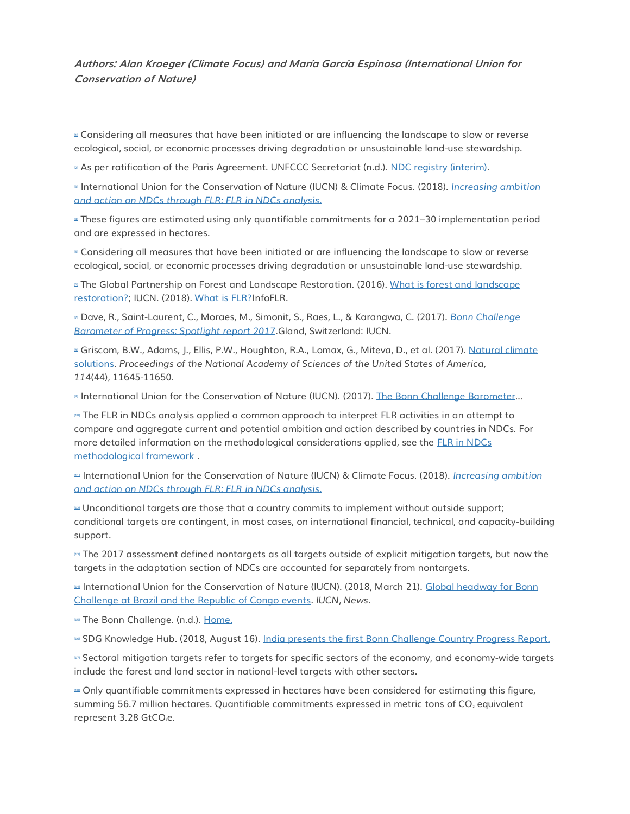#### **Authors: Alan Kroeger (Climate Focus) and María García Espinosa (International Union for Conservation of Nature)**

<sup>III</sup> Considering all measures that have been initiated or are influencing the landscape to slow or reverse ecological, social, or economic processes driving degradation or unsustainable land-use stewardship.

<sup>21</sup> As per ratification of the Paris Agreement. UNFCCC Secretariat (n.d.). [NDC registry \(interim\).](http://www4.unfccc.int/ndcregistry/Pages/Home.aspx)

[\[3\]](http://forestdeclaration.org/goal/goal-5/#_ednref3) International Union for the Conservation of Nature (IUCN) & Climate Focus. (2018). *[Increasing ambition](https://infoflr.org/what-flr/increasing-ambition-and-action-ndcs-through-flr)  [and action on NDCs through FLR: FLR in NDCs analysis.](https://infoflr.org/what-flr/increasing-ambition-and-action-ndcs-through-flr)*

[\[4\]](http://forestdeclaration.org/goal/goal-5/#_ednref4) These figures are estimated using only quantifiable commitments for a 2021–30 implementation period and are expressed in hectares.

■ Considering all measures that have been initiated or are influencing the landscape to slow or reverse ecological, social, or economic processes driving degradation or unsustainable land-use stewardship.

**Example The Global Partnership on Forest and Landscape Restoration. (2016). What is forest and landscape** [restoration?;](http://www.forestlandscaperestoration.org/what-forest-and-landscape-restoration) IUCN. (2018). [What is FLR?I](https://infoflr.org/what-flr/)nfoFLR.

[\[7\]](http://forestdeclaration.org/goal/goal-5/#_ednref7) Dave, R., Saint-Laurent, C., Moraes, M., Simonit, S., Raes, L., & Karangwa, C. (2017). *[Bonn Challenge](https://portals.iucn.org/library/sites/library/files/documents/2017-060.pdf)  [Barometer of Progress: Spotlight report 2017.](https://portals.iucn.org/library/sites/library/files/documents/2017-060.pdf)*Gland, Switzerland: IUCN.

<sup>a</sup> Griscom, B.W., Adams, J., Ellis, P.W., Houghton, R.A., Lomax, G., Miteva, D., et al. (2017). Natural climate [solutions.](http://www.pnas.org/content/114/44/11645) *Proceedings of the National Academy of Sciences of the United States of America, 114*(44), 11645-11650.

**International Union for the Conservation of Nature (IUCN). (2017). [The Bonn Challenge Barometer](https://infoflr.org/bonn-challenge/bonn-challenge-barometer)...** 

[\[10\]](http://forestdeclaration.org/goal/goal-5/#_ednref10) The FLR in NDCs analysis applied a common approach to interpret FLR activities in an attempt to compare and aggregate current and potential ambition and action described by countries in NDCs. For more detailed information on the methodological considerations applied, see the [FLR in NDCs](https://infoflr.org/sites/default/files/2018-07/flr_in_ndcs_database_analytical_framework_0.pdf)  [methodological framework](https://infoflr.org/sites/default/files/2018-07/flr_in_ndcs_database_analytical_framework_0.pdf) .

[\[11\]](http://forestdeclaration.org/goal/goal-5/#_ednref11) International Union for the Conservation of Nature (IUCN) & Climate Focus. (2018). *[Increasing ambition](https://infoflr.org/what-flr/increasing-ambition-and-action-ndcs-through-flr)  [and action on NDCs through FLR: FLR in NDCs analysis.](https://infoflr.org/what-flr/increasing-ambition-and-action-ndcs-through-flr)*

[\[12\]](http://forestdeclaration.org/goal/goal-5/#_ednref12) Unconditional targets are those that a country commits to implement without outside support; conditional targets are contingent, in most cases, on international financial, technical, and capacity-building support.

[\[13\]](http://forestdeclaration.org/goal/goal-5/#_ednref13) The 2017 assessment defined nontargets as all targets outside of explicit mitigation targets, but now the targets in the adaptation section of NDCs are accounted for separately from nontargets.

International Union for the Conservation of Nature (IUCN). (2018, March 21). Global headway for Bonn Challenge at Brazil [and the Republic of Congo events.](https://www.iucn.org/news/forests/201803/global-headway-bonn-challenge-brazil-and-republic-congo-events) *IUCN, News.*

**151 The Bonn Challenge. (n.d.). [Home.](http://www.bonnchallenge.org/)** 

[\[16\]](http://forestdeclaration.org/goal/goal-5/#_ednref16) SDG Knowledge Hub. (2018, August 16). [India presents the first Bonn Challenge Country Progress Report.](http://sdg.iisd.org/news/india-presents-the-first-bonn-challenge-country-progress-report/)

[\[17\]](http://forestdeclaration.org/goal/goal-5/#_ednref17) Sectoral mitigation targets refer to targets for specific sectors of the economy, and economy-wide targets include the forest and land sector in national-level targets with other sectors.

[\[18\]](http://forestdeclaration.org/goal/goal-5/#_ednref18) Only quantifiable commitments expressed in hectares have been considered for estimating this figure, summing 56.7 million hectares. Quantifiable commitments expressed in metric tons of CO<sub>2</sub> equivalent represent 3.28 GtCO<sub>2</sub>e.